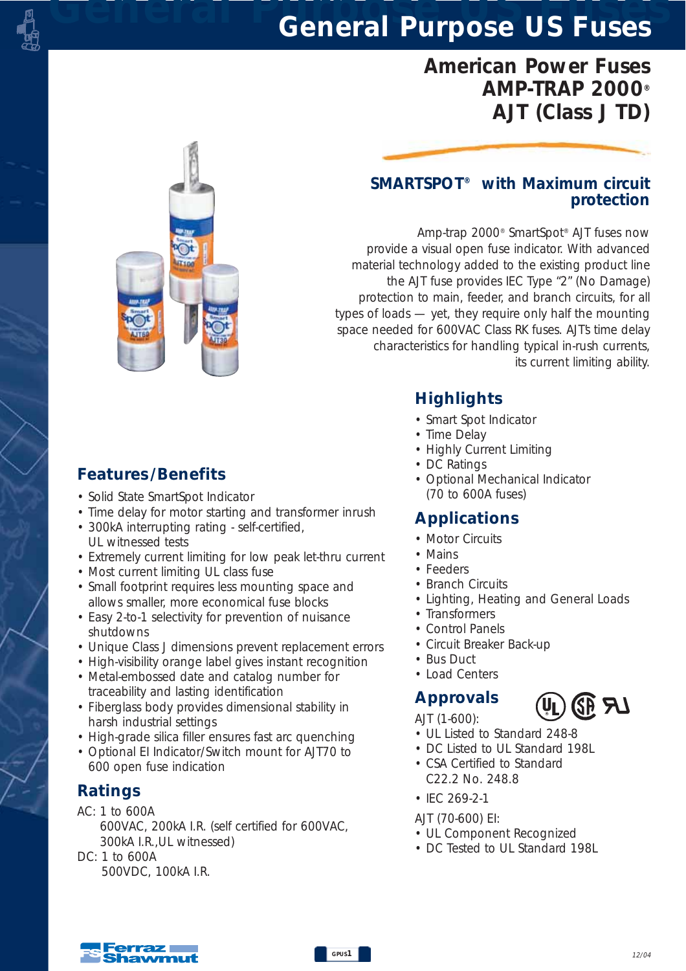# *American Power Fuses AMP-TRAP 2000® AJT (Class J TD)*

#### *SMARTSPOT® with Maximum circuit protection*

*Amp-trap 2000® SmartSpot® AJT fuses now provide a visual open fuse indicator. With advanced material technology added to the existing product line the AJT fuse provides IEC Type "2" (No Damage) protection to main, feeder, and branch circuits, for all types of loads — yet, they require only half the mounting space needed for 600VAC Class RK fuses. AJT's time delay characteristics for handling typical in-rush currents, its current limiting ability.* 

*Highlights*

- *Smart Spot Indicator*
- *Time Delay*
- *Highly Current Limiting*
- *DC Ratings*
- *Optional Mechanical Indicator (70 to 600A fuses)*

### *Applications*

- *Motor Circuits*
- *Mains*
- *Feeders*
- *Branch Circuits*
- *Lighting, Heating and General Loads*
- *Transformers*
- *Control Panels*
- *Circuit Breaker Back-up*
- *Bus Duct*
- *Load Centers*

## *Approvals*

*AJT (1-600):*

- *UL Listed to Standard 248-8*
- *DC Listed to UL Standard 198L*
- *CSA Certified to Standard C22.2 No. 248.8*
- *IEC 269-2-1*

*AJT (70-600) EI:*

- *UL Component Recognized*
- *DC Tested to UL Standard 198L*

## *Features /Benefits*

- *Solid State SmartSpot Indicator*
- *Time delay for motor starting and transformer inrush*
- *300kA interrupting rating self-certified, UL witnessed tests*
- *Extremely current limiting for low peak let-thru current*
- *Most current limiting UL class fuse*
- *Small footprint requires less mounting space and allows smaller, more economical fuse blocks*
- *Easy 2-to-1 selectivity for prevention of nuisance shutdowns*
- *Unique Class J dimensions prevent replacement errors*
- *High-visibility orange label gives instant recognition*
- *Metal-embossed date and catalog number for traceability and lasting identification*
- *Fiberglass body provides dimensional stability in harsh industrial settings*
- *High-grade silica filler ensures fast arc quenching*
- *Optional EI Indicator/Switch mount for AJT70 to 600 open fuse indication*

### *Ratings*

*AC: 1 to 600A 600VAC, 200kA I.R. (self certified for 600VAC, 300kA I.R.,UL witnessed)*

*DC: 1 to 600A 500VDC, 100kA I.R.*



化乳



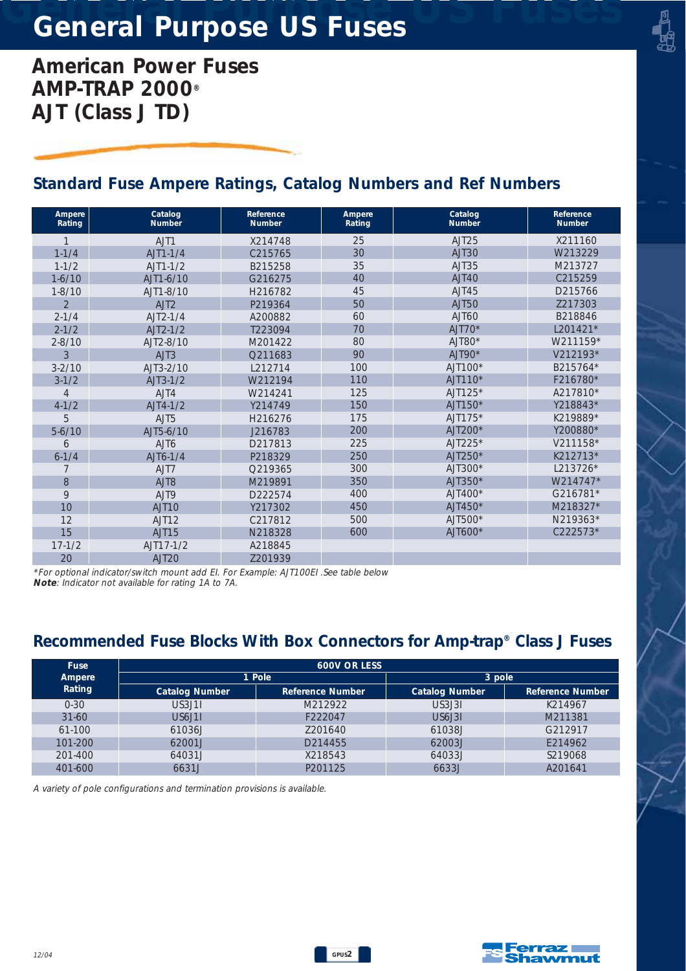*American Power Fuses AMP-TRAP 2000® AJT (Class J TD)*

### *Standard Fuse Ampere Ratings, Catalog Numbers and Ref Numbers*

| Ampere<br>Rating | Catalog<br><b>Number</b> | Reference<br><b>Number</b> | Ampere<br>Rating | Catalog<br><b>Number</b> | Reference<br><b>Number</b> |
|------------------|--------------------------|----------------------------|------------------|--------------------------|----------------------------|
| $\mathbf{1}$     | AJT1                     | X214748                    | 25               | AJT <sub>25</sub>        | X211160                    |
| $1 - 1/4$        | $AJT1-1/4$               | C215765                    | 30               | AJT30                    | W213229                    |
| $1 - 1/2$        | $AIT1-1/2$               | B215258                    | 35               | AJT35                    | M213727                    |
| $1 - 6/10$       | AJT1-6/10                | G216275                    | 40               | AJT40                    | C215259                    |
| $1 - 8/10$       | AJT1-8/10                | H216782                    | 45               | AJT45                    | D215766                    |
| $\overline{2}$   | AJT2                     | P219364                    | 50               | <b>AJT50</b>             | 7217303                    |
| $2 - 1/4$        | $AJT2-1/4$               | A200882                    | 60               | AJT60                    | B218846                    |
| $2 - 1/2$        | $AJT2-1/2$               | T223094                    | 70               | $AJT70*$                 | L201421*                   |
| $2 - 8/10$       | AJT2-8/10                | M201422                    | 80               | $AJT80*$                 | W211159*                   |
| 3                | AJT3                     | Q211683                    | 90               | $AJT90*$                 | V212193*                   |
| $3 - 2/10$       | AJT3-2/10                | L212714                    | 100              | $AJT100*$                | B215764*                   |
| $3 - 1/2$        | $AJT3-1/2$               | W212194                    | 110              | $AJT110*$                | F216780*                   |
| 4                | AJT4                     | W214241                    | 125              | $AJI125*$                | A217810*                   |
| $4 - 1/2$        | $AJT4-1/2$               | Y214749                    | 150              | AJT150*                  | Y218843*                   |
| 5                | AJT <sub>5</sub>         | H216276                    | 175              | AJT175*                  | K219889*                   |
| $5-6/10$         | AJT5-6/10                | J216783                    | 200              | $AJT200*$                | Y200880*                   |
| 6                | AJT6                     | D217813                    | 225              | $AJT225*$                | V211158*                   |
| $6 - 1/4$        | $A$ JT6-1/4              | P218329                    | 250              | $AJT250*$                | K212713*                   |
| 7                | AJT7                     | O219365                    | 300              | AJT300*                  | L213726*                   |
| 8                | AJT8                     | M219891                    | 350              | AJT350*                  | W214747*                   |
| 9                | AJT9                     | D222574                    | 400              | $AJT400*$                | G216781*                   |
| 10               | AJT <sub>10</sub>        | Y217302                    | 450              | $AJT450*$                | M218327*                   |
| 12               | AJT <sub>12</sub>        | C217812                    | 500              | AJT500*                  | N219363*                   |
| 15               | AJT <sub>15</sub>        | N218328                    | 600              | $AJT600*$                | $C222573*$                 |
| $17 - 1/2$       | AJT17-1/2                | A218845                    |                  |                          |                            |
| 20               | AJT <sub>20</sub>        | 7201939                    |                  |                          |                            |

*\*For optional indicator/switch mount add EI. For Example: AJT100EI .See table below Note: Indicator not available for rating 1A to 7A.* 

### *Recommended Fuse Blocks With Box Connectors for Amp-trap® Class J Fuses*

| <b>Fuse</b> | <b>600V OR LESS</b>   |                  |                       |                  |  |  |  |  |
|-------------|-----------------------|------------------|-----------------------|------------------|--|--|--|--|
| Ampere      |                       | 1 Pole           | 3 pole                |                  |  |  |  |  |
| Rating      | <b>Catalog Number</b> | Reference Number | <b>Catalog Number</b> | Reference Number |  |  |  |  |
| $0 - 30$    | US3.J11               | M212922          | US3.131               | K214967          |  |  |  |  |
| $31 - 60$   | US6.J11               | F222047          | US6.131               | M211381          |  |  |  |  |
| 61-100      | 61036J                | 7201640          | 61038.                | G212917          |  |  |  |  |
| 101-200     | 62001J                | D214455          | 62003.                | E214962          |  |  |  |  |
| 201-400     | 64031J                | X218543          | 64033.1               | S219068          |  |  |  |  |
| 401-600     | 6631J                 | P201125          | 6633J                 | A201641          |  |  |  |  |

*A variety of pole configurations and termination provisions is available.*

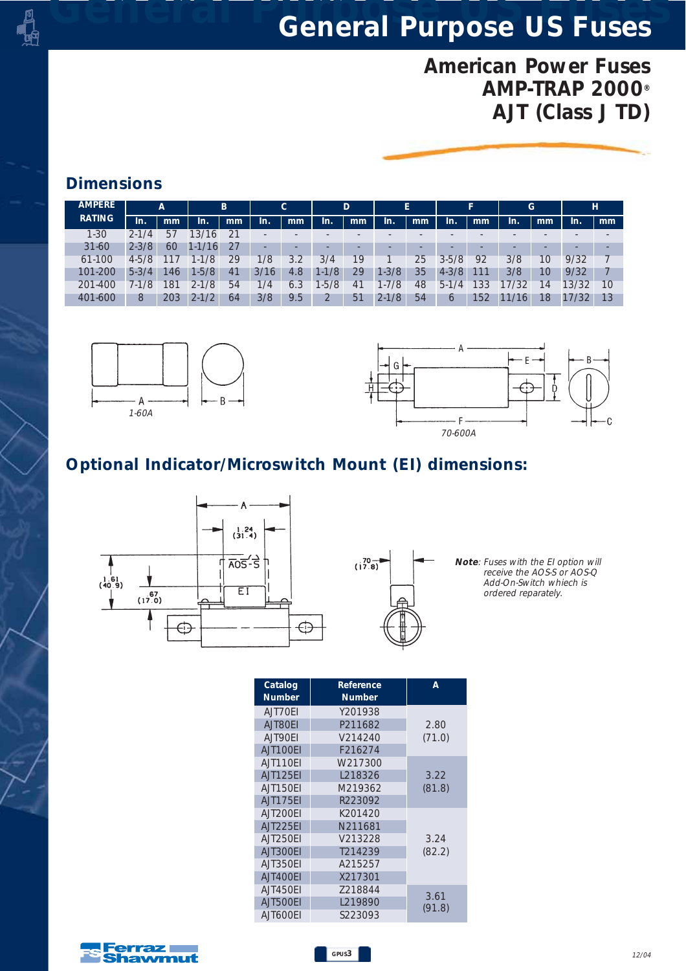# *American Power Fuses AMP-TRAP 2000® AJT (Class J TD)*

### *Dimensions*

| <b>AMPERE</b> |           | $\overline{A}$ |            | B  |                          | $\mathsf{C}$ |        | D  |           | E  |           | Е   | G    |    |       | н  |
|---------------|-----------|----------------|------------|----|--------------------------|--------------|--------|----|-----------|----|-----------|-----|------|----|-------|----|
| <b>RATING</b> | In.       | mm             | In.        | mm | In.                      | mm           | In.    | mm | In.       | mm | In.       | mm  | In.  | mm | In.   | mm |
| $1 - 30$      | $2 - 1/4$ | 57             | 3/16       | 21 | $\overline{\phantom{a}}$ |              |        |    |           |    |           |     |      |    |       |    |
| $31 - 60$     | $2 - 3/8$ | 60             | $1 - 1/16$ | 27 |                          |              |        |    | ۰         | ۰  |           |     |      |    | ۰     |    |
| 61-100        | $4 - 5/8$ | 117            | $1 - 1/8$  | 29 | 1/8                      | 3.2          | 3/4    | 19 |           | 25 | $3 - 5/8$ | 92  | 3/8  | 10 | 9/32  |    |
| 101-200       | $5 - 3/4$ | 46             | $1 - 5/8$  | 41 | 3/16                     | 4.8          | 1-1/8  | 29 | $1 - 3/8$ | 35 | $4 - 3/8$ | 111 | 3/8  | 10 | 9/32  |    |
| 201-400       | 7-1/8     | 181            | $2 - 1/8$  | 54 | 1/4                      | 6.3          | $-5/8$ | 41 | $1 - 7/8$ | 48 | $5-1/4$   | 133 | 7/32 | 14 | 13/32 | 10 |
| 401-600       | 8         | 203            | $2 - 1/2$  | 64 | 3/8                      | 9.5          |        | 51 | $2 - 1/8$ | 54 | 6         | 152 | 16   | 18 | 17/32 | 13 |





## *Optional Indicator/Microswitch Mount (EI) dimensions:*





*Note: Fuses with the EI option will receive the AOS-S or AOS-Q Add-On-Switch whiech is ordered reparately.*

| Catalog  | Reference     | А              |
|----------|---------------|----------------|
| Number   | <b>Number</b> |                |
| AJT70EI  | Y201938       |                |
| AJT80EI  | P211682       | 2.80           |
| AJT90EI  | V214240       | (71.0)         |
| AJT100EI | F216274       |                |
| AJT110FI | W217300       |                |
| AJT125EI | L218326       | 3.22           |
| AJT150EI | M219362       | (81.8)         |
| AJT175EI | R223092       |                |
| AJT200EI | K201420       |                |
| AJT225EI | N211681       |                |
| AJT250FI | V213228       | 3.24           |
| AJT300EI | T214239       | (82.2)         |
| AJT350EI | A215257       |                |
| AJT400EI | X217301       |                |
| AJT450EI | 7218844       |                |
| AJT500EI | L219890       | 3.61<br>(91.8) |
| AJT600EI | S223093       |                |

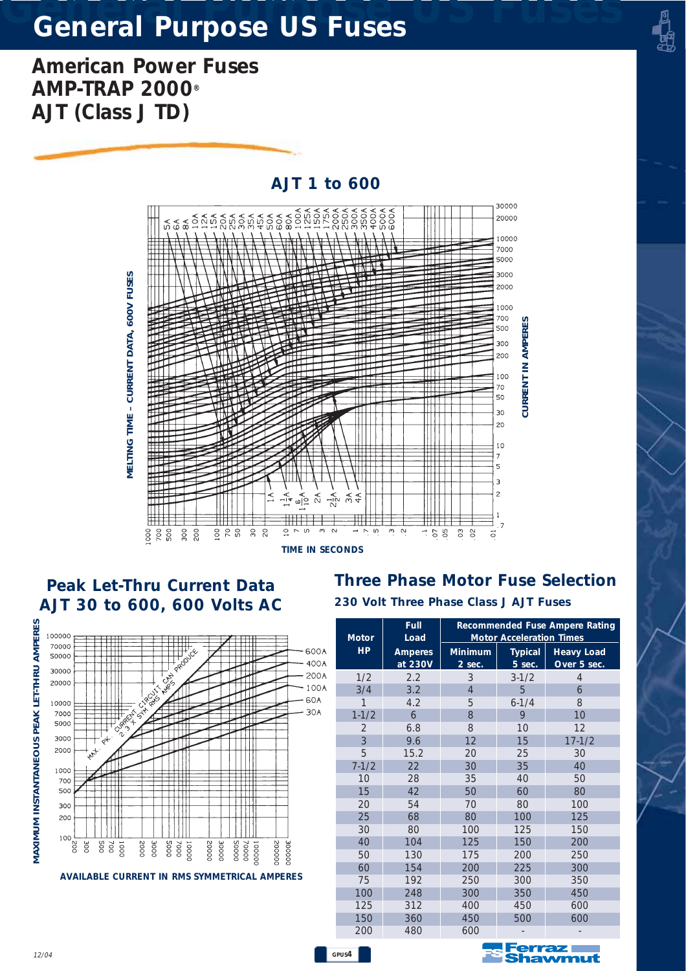*American Power Fuses AMP-TRAP 2000® AJT (Class J TD)*



*GPUS4*

#### *Peak Let-Thru Current Data AJT 30 to 600, 600 Volts AC 230 Volt Three Phase Class J AJT Fuses*





| $\mathsf{C}$ | र्<br>2<br>2 क≮<br>ιn.<br>$\overline{ }$<br><b>CONDS</b> | w<br>$\sim$<br>050                     | $\mathbb{S}^2$<br>$\delta$<br>5 | 700<br><b>CURRENT IN AMPERES</b><br>500<br>300<br>200<br>100<br>70<br>50<br>30<br>20<br>10<br>7<br>5<br>3<br>$\overline{c}$<br>1<br>. 7 |                                         |  |
|--------------|----------------------------------------------------------|----------------------------------------|---------------------------------|-----------------------------------------------------------------------------------------------------------------------------------------|-----------------------------------------|--|
|              |                                                          | 230 Volt Three Phase Class J AJT Fuses |                                 |                                                                                                                                         | <b>Three Phase Motor Fuse Selection</b> |  |
|              |                                                          | Full                                   |                                 |                                                                                                                                         | <b>Recommended Fuse Ampere Rating</b>   |  |
|              | <b>Motor</b><br>HP.                                      | Load<br><b>Amperes</b>                 | <b>Minimum</b>                  | <b>Motor Acceleration Times</b><br><b>Typical</b>                                                                                       | <b>Heavy Load</b>                       |  |
|              |                                                          | at 230V                                | 2 sec.                          | 5 sec.                                                                                                                                  | Over 5 sec.                             |  |
|              | 1/2                                                      | 2.2                                    | 3                               | $3 - 1/2$                                                                                                                               | $\overline{4}$                          |  |
|              | 3/4<br>1                                                 | 3.2                                    | $\overline{4}$                  | 5                                                                                                                                       | 6                                       |  |
|              |                                                          | 4.2<br>6                               | 5<br>8                          | $6 - 1/4$<br>9                                                                                                                          | 8<br>10                                 |  |
|              | $1 - 1/2$<br>2                                           | 6.8                                    | 8                               | 10                                                                                                                                      | 12                                      |  |
|              | 3                                                        | 9.6                                    | 12                              | 15                                                                                                                                      | $17 - 1/2$                              |  |
|              | 5                                                        | 15.2                                   | 20                              | 25                                                                                                                                      | 30                                      |  |
|              | $7 - 1/2$                                                | 22                                     | 30                              | 35                                                                                                                                      | 40                                      |  |
|              | 10                                                       | 28                                     | 35                              | 40                                                                                                                                      | 50                                      |  |
|              | 15                                                       | 42                                     | 50                              | 60                                                                                                                                      | 80                                      |  |
|              | 20                                                       | 54                                     | 70                              | 80                                                                                                                                      | 100                                     |  |
|              | 25                                                       | 68                                     | 80                              | 100                                                                                                                                     | 125                                     |  |
|              | 30                                                       | 80                                     | 100                             | 125                                                                                                                                     | 150                                     |  |
|              | 40                                                       | 104                                    | 125                             | 150                                                                                                                                     | 200                                     |  |
|              | 50                                                       | 130                                    | 175                             | 200                                                                                                                                     | 250                                     |  |
|              | 60                                                       | 154                                    | 200                             | 225                                                                                                                                     | 300                                     |  |
|              | 75                                                       | 192                                    | 250                             | 300                                                                                                                                     | 350                                     |  |
|              | 100                                                      | 248                                    | 300                             | 350                                                                                                                                     | 450                                     |  |
|              | 125                                                      | 312                                    | 400                             | 450                                                                                                                                     | 600                                     |  |
|              | 150                                                      | 360                                    | 450                             | 500                                                                                                                                     | 600                                     |  |



12/04